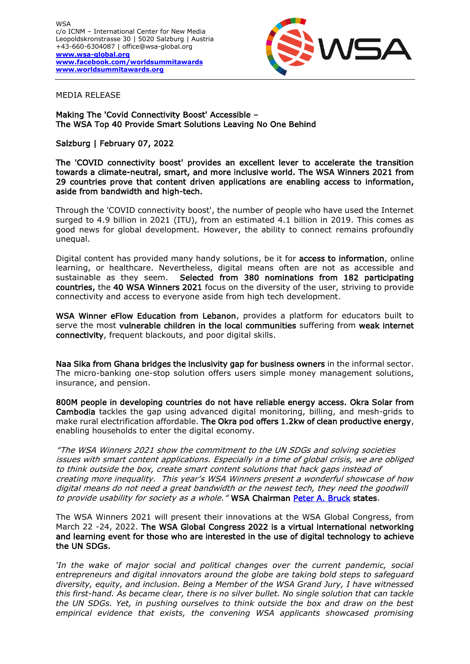

MEDIA RELEASE

Making The 'Covid Connectivity Boost' Accessible – The WSA Top 40 Provide Smart Solutions Leaving No One Behind

## Salzburg | February 07, 2022

The 'COVID connectivity boost' provides an excellent lever to accelerate the transition towards a climate-neutral, smart, and more inclusive world. The WSA Winners 2021 from 29 countries prove that content driven applications are enabling access to information, aside from bandwidth and high-tech.

Through the 'COVID connectivity boost', the number of people who have used the Internet surged to 4.9 billion in 2021 (ITU), from an estimated 4.1 billion in 2019. This comes as good news for global development. However, the ability to connect remains profoundly unequal.

Digital content has provided many handy solutions, be it for access to information, online learning, or healthcare. Nevertheless, digital means often are not as accessible and sustainable as they seem. Selected from 380 nominations from 182 participating countries, the 40 WSA Winners 2021 focus on the diversity of the user, striving to provide connectivity and access to everyone aside from high tech development.

WSA Winner eFlow Education from Lebanon, provides a platform for educators built to serve the most vulnerable children in the local communities suffering from weak internet connectivity, frequent blackouts, and poor digital skills.

Naa Sika from Ghana bridges the inclusivity gap for business owners in the informal sector. The micro-banking one-stop solution offers users simple money management solutions, insurance, and pension.

800M people in developing countries do not have reliable energy access. Okra Solar from Cambodia tackles the gap using advanced digital monitoring, billing, and mesh-grids to make rural electrification affordable. The Okra pod offers 1.2kw of clean productive energy, enabling households to enter the digital economy.

"The WSA Winners 2021 show the commitment to the UN SDGs and solving societies issues with smart content applications. Especially in a time of global crisis, we are obliged to think outside the box, create smart content solutions that hack gaps instead of creating more inequality. This year's WSA Winners present a wonderful showcase of how digital means do not need a great bandwidth or the newest tech, they need the goodwill to provide usability for society as a whole." WSA Chairman [Peter A. Bruck](https://wsa-global.org/person/peter-a-bruck/) states.

The WSA Winners 2021 will present their innovations at the WSA Global Congress, from March 22 -24, 2022. The WSA Global Congress 2022 is a virtual international networking and learning event for those who are interested in the use of digital technology to achieve the UN SDGs.

*'In the wake of major social and political changes over the current pandemic, social entrepreneurs and digital innovators around the globe are taking bold steps to safeguard diversity, equity, and inclusion. Being a Member of the WSA Grand Jury, I have witnessed this first-hand. As became clear, there is no silver bullet. No single solution that can tackle the UN SDGs. Yet, in pushing ourselves to think outside the box and draw on the best empirical evidence that exists, the convening WSA applicants showcased promising*